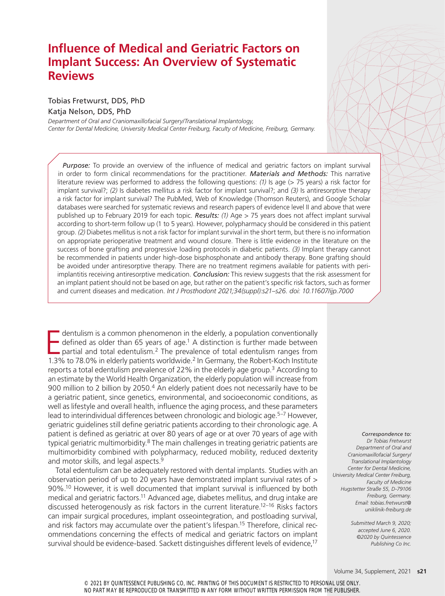# **Influence of Medical and Geriatric Factors on Implant Success: An Overview of Systematic Reviews**

## Tobias Fretwurst, DDS, PhD

### Katja Nelson, DDS, PhD

*Department of Oral and Craniomaxillofacial Surgery/Translational Implantology, Center for Dental Medicine, University Medical Center Freiburg, Faculty of Medicine, Freiburg, Germany.*

*Purpose:* To provide an overview of the influence of medical and geriatric factors on implant survival in order to form clinical recommendations for the practitioner. *Materials and Methods:* This narrative literature review was performed to address the following questions: *(1)* Is age (> 75 years) a risk factor for implant survival?; *(2)* Is diabetes mellitus a risk factor for implant survival?; and *(3)* Is antiresorptive therapy a risk factor for implant survival? The PubMed, Web of Knowledge (Thomson Reuters), and Google Scholar databases were searched for systematic reviews and research papers of evidence level II and above that were published up to February 2019 for each topic. *Results: (1)* Age > 75 years does not affect implant survival according to short-term follow up (1 to 5 years). However, polypharmacy should be considered in this patient group. *(2)* Diabetes mellitus is not a risk factor for implant survival in the short term, but there is no information on appropriate perioperative treatment and wound closure. There is little evidence in the literature on the success of bone grafting and progressive loading protocols in diabetic patients. *(3)* Implant therapy cannot be recommended in patients under high-dose bisphosphonate and antibody therapy. Bone grafting should be avoided under antiresorptive therapy. There are no treatment regimens available for patients with periimplantitis receiving antiresorptive medication. *Conclusion:* This review suggests that the risk assessment for an implant patient should not be based on age, but rather on the patient's specific risk factors, such as former and current diseases and medication. *Int J Prosthodont 2021;34(suppl):s21–s26. doi: 10.11607/ijp.7000*

dentulism is a common phenomenon in the elderly, a population conventionally defined as older than 65 years of age.<sup>1</sup> A distinction is further made between partial and total edentulism.<sup>2</sup> The prevalence of total edentuli dentulism is a common phenomenon in the elderly, a population conventionally defined as older than 65 years of age.<sup>1</sup> A distinction is further made between partial and total edentulism.<sup>2</sup> The prevalence of total edentulism ranges from reports a total edentulism prevalence of 22% in the elderly age group.3 According to an estimate by the World Health Organization, the elderly population will increase from 900 million to 2 billion by 2050.4 An elderly patient does not necessarily have to be a geriatric patient, since genetics, environmental, and socioeconomic conditions, as well as lifestyle and overall health, influence the aging process, and these parameters lead to interindividual differences between chronologic and biologic age.<sup>5–7</sup> However, geriatric guidelines still define geriatric patients according to their chronologic age. A patient is defined as geriatric at over 80 years of age or at over 70 years of age with typical geriatric multimorbidity.<sup>8</sup> The main challenges in treating geriatric patients are multimorbidity combined with polypharmacy, reduced mobility, reduced dexterity and motor skills, and legal aspects.<sup>9</sup>

Total edentulism can be adequately restored with dental implants. Studies with an observation period of up to 20 years have demonstrated implant survival rates of > 90%.<sup>10</sup> However, it is well documented that implant survival is influenced by both medical and geriatric factors.<sup>11</sup> Advanced age, diabetes mellitus, and drug intake are discussed heterogenously as risk factors in the current literature.12–16 Risks factors can impair surgical procedures, implant osseointegration, and postloading survival, and risk factors may accumulate over the patient's lifespan.<sup>15</sup> Therefore, clinical recommendations concerning the effects of medical and geriatric factors on implant survival should be evidence-based. Sackett distinguishes different levels of evidence,<sup>17</sup>

*Correspondence to: Dr Tobias Fretwurst Department of Oral and Craniomaxillofacial Surgery/ Translational Implantology Center for Dental Medicine, University Medical Center Freiburg, Faculty of Medicine Hugstetter Straße 55, D-79106 Freiburg, Germany. Email: tobias.fretwurst@ uniklinik-freiburg.de*

> *Submitted March 9, 2020; accepted June 6, 2020. ©2020 by Quintessence Publishing Co Inc.*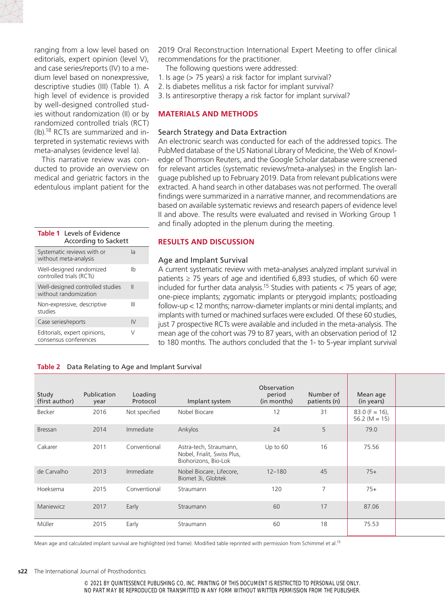ranging from a low level based on editorials, expert opinion (level V), and case series/reports (IV) to a medium level based on nonexpressive, descriptive studies (III) (Table 1). A high level of evidence is provided by well-designed controlled studies without randomization (II) or by randomized controlled trials (RCT) (Ib).18 RCTs are summarized and interpreted in systematic reviews with meta-analyses (evidence level Ia).

This narrative review was conducted to provide an overview on medical and geriatric factors in the edentulous implant patient for the

| <b>Table 1</b> Levels of Evidence<br>According to Sackett  |    |  |  |  |  |  |  |  |  |
|------------------------------------------------------------|----|--|--|--|--|--|--|--|--|
| Systematic reviews with or<br>la<br>without meta-analysis  |    |  |  |  |  |  |  |  |  |
| Ih<br>Well-designed randomized<br>controlled trials (RCTs) |    |  |  |  |  |  |  |  |  |
| Well-designed controlled studies<br>without randomization  |    |  |  |  |  |  |  |  |  |
| Non-expressive, descriptive<br><b>studies</b>              |    |  |  |  |  |  |  |  |  |
| Case series/reports                                        | IV |  |  |  |  |  |  |  |  |
| Editorials, expert opinions,<br>consensus conferences      | V  |  |  |  |  |  |  |  |  |
|                                                            |    |  |  |  |  |  |  |  |  |

2019 Oral Reconstruction International Expert Meeting to offer clinical recommendations for the practitioner.

- The following questions were addressed:
- 1. Is age (> 75 years) a risk factor for implant survival?
- 2. Is diabetes mellitus a risk factor for implant survival?
- 3. Is antiresorptive therapy a risk factor for implant survival?

# **MATERIALS AND METHODS**

## Search Strategy and Data Extraction

An electronic search was conducted for each of the addressed topics. The PubMed database of the US National Library of Medicine, the Web of Knowledge of Thomson Reuters, and the Google Scholar database were screened for relevant articles (systematic reviews/meta-analyses) in the English language published up to February 2019. Data from relevant publications were extracted. A hand search in other databases was not performed. The overall findings were summarized in a narrative manner, and recommendations are based on available systematic reviews and research papers of evidence level II and above. The results were evaluated and revised in Working Group 1 and finally adopted in the plenum during the meeting.

## **RESULTS AND DISCUSSION**

## Age and Implant Survival

A current systematic review with meta-analyses analyzed implant survival in patients ≥ 75 years of age and identified 6,893 studies, of which 60 were included for further data analysis.<sup>15</sup> Studies with patients  $<$  75 years of age; one‐piece implants; zygomatic implants or pterygoid implants; postloading follow-up < 12 months; narrow-diameter implants or mini dental implants; and implants with turned or machined surfaces were excluded. Of these 60 studies, just 7 prospective RCTs were available and included in the meta-analysis. The mean age of the cohort was 79 to 87 years, with an observation period of 12 to 180 months. The authors concluded that the 1- to 5‐year implant survival

#### **Table 2** Data Relating to Age and Implant Survival

| Study<br>(first author) | Publication<br>year | Loading<br>Protocol | Implant system                                                                | Observation<br>period<br>(in months) | Number of<br>patients (n) | Mean age<br>(in years)                |  |
|-------------------------|---------------------|---------------------|-------------------------------------------------------------------------------|--------------------------------------|---------------------------|---------------------------------------|--|
| Becker                  | 2016                | Not specified       | Nobel Biocare                                                                 | 12                                   | 31                        | $83.0$ (F = 16),<br>56.2 ( $M = 15$ ) |  |
| Bressan                 | 2014                | Immediate           | Ankylos                                                                       | 24                                   | 5                         | 79.0                                  |  |
| Cakarer                 | 2011                | Conventional        | Astra-tech, Straumann,<br>Nobel, Frialit, Swiss Plus,<br>Biohorizons, Bio-Lok | Up to 60                             | 16                        | 75.56                                 |  |
| de Carvalho             | 2013                | Immediate           | Nobel Biocare, Lifecore,<br>Biomet 3i, Globtek                                | $12 - 180$                           | 45                        | $75+$                                 |  |
| Hoeksema                | 2015                | Conventional        | Straumann                                                                     | 120                                  | $\overline{\phantom{0}}$  | $75+$                                 |  |
| Maniewicz               | 2017                | Early               | Straumann                                                                     | 60                                   | 17                        | 87.06                                 |  |
| Müller                  | 2015                | Early               | Straumann                                                                     | 60                                   | 18                        | 75.53                                 |  |

Mean age and calculated implant survival are highlighted (red frame). Modified table reprinted with permission from Schimmel et al.15

#### **s22** The International Journal of Prosthodontics

© 2021 BY QUINTESSENCE PUBLISHING CO, INC. PRINTING OF THIS DOCUMENT IS RESTRICTED TO PERSONAL USE ONLY. NO PART MAY BE REPRODUCED OR TRANSMITTED IN ANY FORM WITHOUT WRITTEN PERMISSION FROM THE PUBLISHER.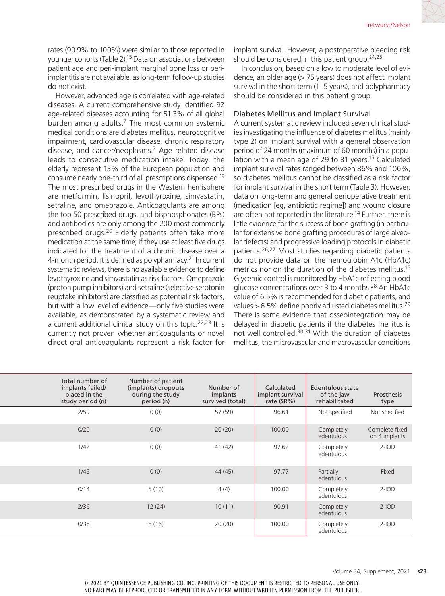rates (90.9% to 100%) were similar to those reported in younger cohorts (Table 2).15 Data on associations between patient age and peri-implant marginal bone loss or periimplantitis are not available, as long-term follow-up studies do not exist.

However, advanced age is correlated with age-related diseases. A current comprehensive study identified 92 age-related diseases accounting for 51.3% of all global burden among adults.<sup>7</sup> The most common systemic medical conditions are diabetes mellitus, neurocognitive impairment, cardiovascular disease, chronic respiratory disease, and cancer/neoplasms.7 Age-related disease leads to consecutive medication intake. Today, the elderly represent 13% of the European population and consume nearly one-third of all prescriptions dispensed.19 The most prescribed drugs in the Western hemisphere are metformin, lisinopril, levothyroxine, simvastatin, setraline, and omeprazole. Anticoagulants are among the top 50 prescribed drugs, and bisphosphonates (BPs) and antibodies are only among the 200 most commonly prescribed drugs.20 Elderly patients often take more medication at the same time; if they use at least five drugs indicated for the treatment of a chronic disease over a 4-month period, it is defined as polypharmacy.<sup>21</sup> In current systematic reviews, there is no available evidence to define levothyroxine and simvastatin as risk factors. Omeprazole (proton pump inhibitors) and setraline (selective serotonin reuptake inhibitors) are classified as potential risk factors, but with a low level of evidence—only five studies were available, as demonstrated by a systematic review and a current additional clinical study on this topic.<sup>22,23</sup> It is currently not proven whether anticoagulants or novel direct oral anticoagulants represent a risk factor for implant survival. However, a postoperative bleeding risk should be considered in this patient group.<sup>24,25</sup>

In conclusion, based on a low to moderate level of evidence, an older age (> 75 years) does not affect implant survival in the short term (1–5 years), and polypharmacy should be considered in this patient group.

#### Diabetes Mellitus and Implant Survival

A current systematic review included seven clinical studies investigating the influence of diabetes mellitus (mainly type 2) on implant survival with a general observation period of 24 months (maximum of 60 months) in a population with a mean age of 29 to 81 years.<sup>15</sup> Calculated implant survival rates ranged between 86% and 100%, so diabetes mellitus cannot be classified as a risk factor for implant survival in the short term (Table 3). However, data on long-term and general perioperative treatment (medication [eg, antibiotic regime]) and wound closure are often not reported in the literature.<sup>14</sup> Further, there is little evidence for the success of bone grafting (in particular for extensive bone grafting procedures of large alveolar defects) and progressive loading protocols in diabetic patients.26,27 Most studies regarding diabetic patients do not provide data on the hemoglobin A1c (HbA1c) metrics nor on the duration of the diabetes mellitus.<sup>15</sup> Glycemic control is monitored by HbA1c reflecting blood glucose concentrations over 3 to 4 months.28 An HbA1c value of 6.5% is recommended for diabetic patients, and values > 6.5% define poorly adjusted diabetes mellitus.<sup>29</sup> There is some evidence that osseointegration may be delayed in diabetic patients if the diabetes mellitus is not well controlled.30,31 With the duration of diabetes mellitus, the microvascular and macrovascular conditions

|        | Total number of<br>implants failed/<br>placed in the<br>study period (n) | Number of patient<br>(implants) dropouts<br>during the study<br>period (n) | Number of<br>implants<br>survived (total) | Calculated<br>implant survival<br>rate (SR%) | Edentulous state<br>of the jaw<br>rehabilitated | Prosthesis<br>type              |
|--------|--------------------------------------------------------------------------|----------------------------------------------------------------------------|-------------------------------------------|----------------------------------------------|-------------------------------------------------|---------------------------------|
| 0(0)   | 2/59                                                                     |                                                                            | 57 (59)                                   | 96.61                                        | Not specified                                   | Not specified                   |
| 0(0)   | 0/20                                                                     |                                                                            | 20(20)                                    | 100.00                                       | Completely<br>edentulous                        | Complete fixed<br>on 4 implants |
| 0(0)   | 1/42                                                                     |                                                                            | 41 (42)                                   | 97.62                                        | Completely<br>edentulous                        | $2$ -IOD                        |
| 0(0)   | 1/45                                                                     |                                                                            | 44(45)                                    | 97.77                                        | Partially<br>edentulous                         | Fixed                           |
| 5(10)  | 0/14                                                                     |                                                                            | 4(4)                                      | 100.00                                       | Completely<br>edentulous                        | $2$ -IOD                        |
| 12(24) | 2/36                                                                     |                                                                            | 10(11)                                    | 90.91                                        | Completely<br>edentulous                        | $2$ -IOD                        |
| 8 (16) | 0/36                                                                     |                                                                            | 20(20)                                    | 100.00                                       | Completely<br>edentulous                        | $2$ -IOD                        |

© 2021 BY QUINTESSENCE PUBLISHING CO, INC. PRINTING OF THIS DOCUMENT IS RESTRICTED TO PERSONAL USE ONLY. NO PART MAY BE REPRODUCED OR TRANSMITTED IN ANY FORM WITHOUT WRITTEN PERMISSION FROM THE PUBLISHER.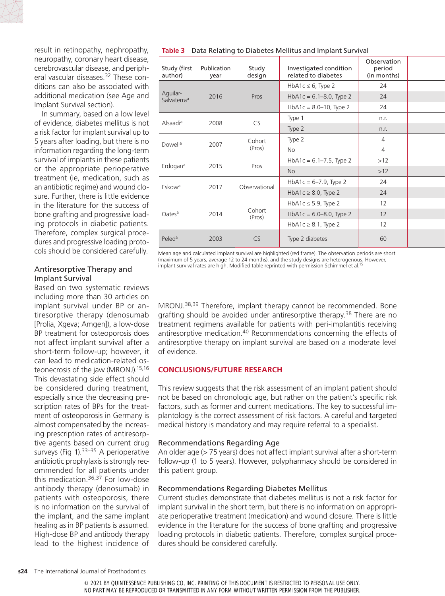

result in retinopathy, nephropathy, neuropathy, coronary heart disease, cerebrovascular disease, and peripheral vascular diseases.<sup>32</sup> These conditions can also be associated with additional medication (see Age and Implant Survival section).

In summary, based on a low level of evidence, diabetes mellitus is not a risk factor for implant survival up to 5 years after loading, but there is no information regarding the long-term survival of implants in these patients or the appropriate perioperative treatment (ie, medication, such as an antibiotic regime) and wound closure. Further, there is little evidence in the literature for the success of bone grafting and progressive loading protocols in diabetic patients. Therefore, complex surgical procedures and progressive loading protocols should be considered carefully.

## Antiresorptive Therapy and Implant Survival

Based on two systematic reviews including more than 30 articles on implant survival under BP or antiresorptive therapy (denosumab [Prolia, Xgeva; Amgen]), a low-dose BP treatment for osteoporosis does not affect implant survival after a short-term follow-up; however, it can lead to medication-related osteonecrosis of the jaw (MRONJ).15,16 This devastating side effect should be considered during treatment, especially since the decreasing prescription rates of BPs for the treatment of osteoporosis in Germany is almost compensated by the increasing prescription rates of antiresorptive agents based on current drug surveys (Fig 1). $33-35$  A perioperative antibiotic prophylaxis is strongly recommended for all patients under this medication.<sup>36,37</sup> For low-dose antibody therapy (denosumab) in patients with osteoporosis, there is no information on the survival of the implant, and the same implant healing as in BP patients is assumed. High-dose BP and antibody therapy lead to the highest incidence of

| Study (first<br>author)                     | Publication<br>year | Study<br>design  | Investigated condition<br>related to diabetes | Observation<br>period<br>(in months) |  |
|---------------------------------------------|---------------------|------------------|-----------------------------------------------|--------------------------------------|--|
|                                             |                     |                  | HbA1c $\leq$ 6, Type 2                        | 24                                   |  |
| Aguilar-<br>Salvaterra <sup>a</sup>         | 2016                | Pros             | $HbA1c = 6.1–8.0$ , Type 2                    | 24                                   |  |
|                                             |                     |                  | $HbA1c = 8.0 - 10$ , Type 2                   | 24                                   |  |
|                                             | 2008                | CS               | Type 1                                        | n.r.                                 |  |
| Alsaadi <sup>a</sup><br>Dowell <sup>a</sup> |                     |                  | Type 2                                        | n.r.                                 |  |
|                                             | 2007                | Cohort<br>(Pros) | Type 2                                        | $\overline{4}$                       |  |
|                                             |                     |                  | No                                            | $\overline{4}$                       |  |
|                                             |                     |                  | $HbA1c = 6.1 - 7.5$ , Type 2                  | $>12$                                |  |
| Erdogan <sup>a</sup>                        | 2015                | Pros             | <b>No</b>                                     | >12                                  |  |
|                                             |                     |                  | $HbA1c = 6-7.9$ , Type 2                      | 24                                   |  |
| Eskow <sup>a</sup>                          | 2017                | Observational    | HbA1c $\geq$ 8.0, Type 2                      | 24                                   |  |
|                                             |                     |                  | HbA1c $\leq$ 5.9, Type 2                      | 12                                   |  |
| Oatesa                                      | 2014                | Cohort<br>(Pros) | $HbA1c = 6.0 - 8.0$ , Type 2                  | 12                                   |  |
|                                             |                     |                  | HbA1c $\geq$ 8.1, Type 2                      | 12                                   |  |
| Peled <sup>a</sup>                          | 2003                | CS               | Type 2 diabetes                               | 60                                   |  |

Mean age and calculated implant survival are highlighted (red frame). The observation periods are short (maximum of 5 years, average 12 to 24 months), and the study designs are heterogenous. However, implant survival rates are high. Modified table reprinted with permission Schimmel et al.<sup>15</sup>

MRONJ.38,39 Therefore, implant therapy cannot be recommended. Bone grafting should be avoided under antiresorptive therapy.<sup>38</sup> There are no treatment regimens available for patients with peri-implantitis receiving antiresorptive medication.40 Recommendations concerning the effects of antiresorptive therapy on implant survival are based on a moderate level of evidence.

## **CONCLUSIONS/FUTURE RESEARCH**

This review suggests that the risk assessment of an implant patient should not be based on chronologic age, but rather on the patient's specific risk factors, such as former and current medications. The key to successful implantology is the correct assessment of risk factors. A careful and targeted medical history is mandatory and may require referral to a specialist.

#### Recommendations Regarding Age

An older age (> 75 years) does not affect implant survival after a short-term follow-up (1 to 5 years). However, polypharmacy should be considered in this patient group.

## Recommendations Regarding Diabetes Mellitus

Current studies demonstrate that diabetes mellitus is not a risk factor for implant survival in the short term, but there is no information on appropriate perioperative treatment (medication) and wound closure. There is little evidence in the literature for the success of bone grafting and progressive loading protocols in diabetic patients. Therefore, complex surgical procedures should be considered carefully.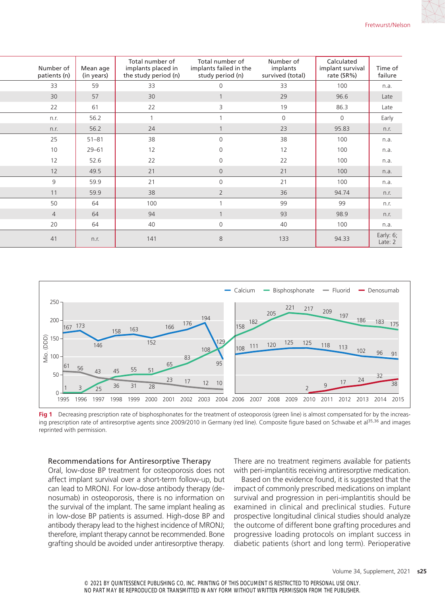| Number of<br>patients (n) | Mean age<br>(in years) | Total number of<br>implants placed in<br>the study period (n) | Total number of<br>implants failed in the<br>study period (n) | Number of<br>implants<br>survived (total) | Calculated<br>implant survival<br>rate (SR%) | Time of<br>failure   |
|---------------------------|------------------------|---------------------------------------------------------------|---------------------------------------------------------------|-------------------------------------------|----------------------------------------------|----------------------|
| 33                        | 59                     | 33                                                            | $\mathbf 0$                                                   | 33                                        | 100                                          | n.a.                 |
| 30                        | 57                     | 30                                                            |                                                               | 29                                        | 96.6                                         | Late                 |
| 22                        | 61                     | 22                                                            | 3                                                             | 19                                        | 86.3                                         | Late                 |
| n.r.                      | 56.2                   |                                                               |                                                               | $\Omega$                                  | $\overline{0}$                               | Early                |
| n.r.                      | 56.2                   | 24                                                            |                                                               | 23                                        | 95.83                                        | n.r.                 |
| 25                        | $51 - 81$              | 38                                                            | $\Omega$                                                      | 38                                        | 100                                          | n.a.                 |
| $10$                      | $29 - 61$              | 12                                                            | $\Omega$                                                      | 12                                        | 100                                          | n.a.                 |
| 12                        | 52.6                   | 22                                                            | $\Omega$                                                      | 22                                        | 100                                          | n.a.                 |
| 12                        | 49.5                   | 21                                                            | $\overline{0}$                                                | 21                                        | 100                                          | n.a.                 |
| 9                         | 59.9                   | 21                                                            | $\Omega$                                                      | 21                                        | 100                                          | n.a.                 |
| 11                        | 59.9                   | 38                                                            | $\overline{2}$                                                | 36                                        | 94.74                                        | n.r.                 |
| 50                        | 64                     | 100                                                           |                                                               | 99                                        | 99                                           | n.r.                 |
| $\overline{4}$            | 64                     | 94                                                            |                                                               | 93                                        | 98.9                                         | n.r.                 |
| 20                        | 64                     | 40                                                            | $\mathbf 0$                                                   | 40                                        | 100                                          | n.a.                 |
| 41                        | n.r.                   | 141                                                           | 8                                                             | 133                                       | 94.33                                        | Early: 6;<br>Late: 2 |



**Fig 1** Decreasing prescription rate of bisphosphonates for the treatment of osteoporosis (green line) is almost compensated for by the increasing prescription rate of antiresorptive agents since 2009/2010 in Germany (red line). Composite figure based on Schwabe et al<sup>35,36</sup> and images reprinted with permission.

#### Recommendations for Antiresorptive Therapy

Oral, low-dose BP treatment for osteoporosis does not affect implant survival over a short-term follow-up, but can lead to MRONJ. For low-dose antibody therapy (denosumab) in osteoporosis, there is no information on the survival of the implant. The same implant healing as in low-dose BP patients is assumed. High-dose BP and antibody therapy lead to the highest incidence of MRONJ; therefore, implant therapy cannot be recommended. Bone grafting should be avoided under antiresorptive therapy. There are no treatment regimens available for patients with peri-implantitis receiving antiresorptive medication.

Based on the evidence found, it is suggested that the impact of commonly prescribed medications on implant survival and progression in peri-implantitis should be examined in clinical and preclinical studies. Future prospective longitudinal clinical studies should analyze the outcome of different bone grafting procedures and progressive loading protocols on implant success in diabetic patients (short and long term). Perioperative